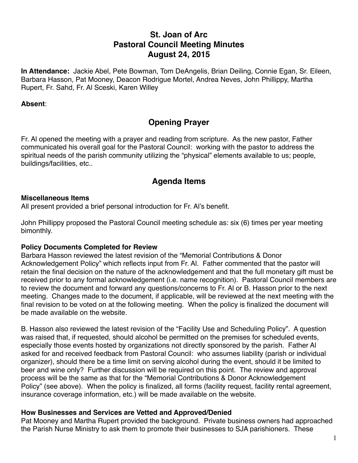# **St. Joan of Arc Pastoral Council Meeting Minutes August 24, 2015**

**In Attendance:** Jackie Abel, Pete Bowman, Tom DeAngelis, Brian Deiling, Connie Egan, Sr. Eileen, Barbara Hasson, Pat Mooney, Deacon Rodrigue Mortel, Andrea Neves, John Phillippy, Martha Rupert, Fr. Sahd, Fr. Al Sceski, Karen Willey

#### **Absent**:

# **Opening Prayer**

Fr. Al opened the meeting with a prayer and reading from scripture. As the new pastor, Father communicated his overall goal for the Pastoral Council: working with the pastor to address the spiritual needs of the parish community utilizing the "physical" elements available to us; people, buildings/facilities, etc..

# **Agenda Items**

#### **Miscellaneous Items**

All present provided a brief personal introduction for Fr. Al's benefit.

John Phillippy proposed the Pastoral Council meeting schedule as: six (6) times per year meeting bimonthly.

### **Policy Documents Completed for Review**

Barbara Hasson reviewed the latest revision of the "Memorial Contributions & Donor Acknowledgement Policy" which reflects input from Fr. Al. Father commented that the pastor will retain the final decision on the nature of the acknowledgement and that the full monetary gift must be received prior to any formal acknowledgement (i.e. name recognition). Pastoral Council members are to review the document and forward any questions/concerns to Fr. Al or B. Hasson prior to the next meeting. Changes made to the document, if applicable, will be reviewed at the next meeting with the final revision to be voted on at the following meeting. When the policy is finalized the document will be made available on the website.

B. Hasson also reviewed the latest revision of the "Facility Use and Scheduling Policy". A question was raised that, if requested, should alcohol be permitted on the premises for scheduled events, especially those events hosted by organizations not directly sponsored by the parish. Father Al asked for and received feedback from Pastoral Council: who assumes liability (parish or individual organizer), should there be a time limit on serving alcohol during the event, should it be limited to beer and wine only? Further discussion will be required on this point. The review and approval process will be the same as that for the "Memorial Contributions & Donor Acknowledgement Policy" (see above). When the policy is finalized, all forms (facility request, facility rental agreement, insurance coverage information, etc.) will be made available on the website.

### **How Businesses and Services are Vetted and Approved/Denied**

Pat Mooney and Martha Rupert provided the background. Private business owners had approached the Parish Nurse Ministry to ask them to promote their businesses to SJA parishioners. These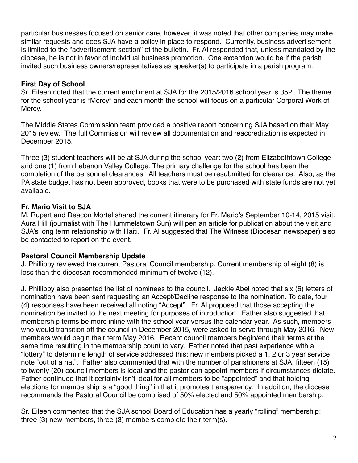particular businesses focused on senior care, however, it was noted that other companies may make similar requests and does SJA have a policy in place to respond. Currently, business advertisement is limited to the "advertisement section" of the bulletin. Fr. Al responded that, unless mandated by the diocese, he is not in favor of individual business promotion. One exception would be if the parish invited such business owners/representatives as speaker(s) to participate in a parish program.

### **First Day of School**

Sr. Eileen noted that the current enrollment at SJA for the 2015/2016 school year is 352. The theme for the school year is "Mercy" and each month the school will focus on a particular Corporal Work of Mercy.

The Middle States Commission team provided a positive report concerning SJA based on their May 2015 review. The full Commission will review all documentation and reaccreditation is expected in December 2015.

Three (3) student teachers will be at SJA during the school year: two (2) from Elizabethtown College and one (1) from Lebanon Valley College. The primary challenge for the school has been the completion of the personnel clearances. All teachers must be resubmitted for clearance. Also, as the PA state budget has not been approved, books that were to be purchased with state funds are not yet available.

## **Fr. Mario Visit to SJA**

M. Rupert and Deacon Mortel shared the current itinerary for Fr. Mario's September 10-14, 2015 visit. Aura Hill (journalist with The Hummelstown Sun) will pen an article for publication about the visit and SJA's long term relationship with Haiti. Fr. Al suggested that The Witness (Diocesan newspaper) also be contacted to report on the event.

## **Pastoral Council Membership Update**

J. Phillippy reviewed the current Pastoral Council membership. Current membership of eight (8) is less than the diocesan recommended minimum of twelve (12).

J. Phillippy also presented the list of nominees to the council. Jackie Abel noted that six (6) letters of nomination have been sent requesting an Accept/Decline response to the nomination. To date, four (4) responses have been received all noting "Accept". Fr. Al proposed that those accepting the nomination be invited to the next meeting for purposes of introduction. Father also suggested that membership terms be more inline with the school year versus the calendar year. As such, members who would transition off the council in December 2015, were asked to serve through May 2016. New members would begin their term May 2016. Recent council members begin/end their terms at the same time resulting in the membership count to vary. Father noted that past experience with a "lottery" to determine length of service addressed this: new members picked a 1, 2 or 3 year service note "out of a hat". Father also commented that with the number of parishioners at SJA, fifteen (15) to twenty (20) council members is ideal and the pastor can appoint members if circumstances dictate. Father continued that it certainly isn't ideal for all members to be "appointed" and that holding elections for membership is a "good thing" in that it promotes transparency. In addition, the diocese recommends the Pastoral Council be comprised of 50% elected and 50% appointed membership.

Sr. Eileen commented that the SJA school Board of Education has a yearly "rolling" membership: three (3) new members, three (3) members complete their term(s).